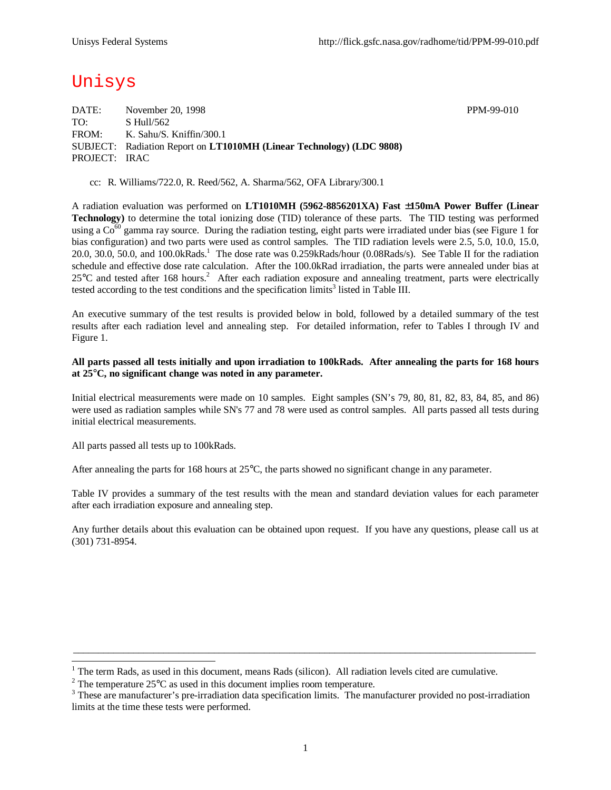# Unisys

DATE: November 20, 1998 PPM-99-010 TO: S Hull/562 FROM: K. Sahu/S. Kniffin/300.1 SUBJECT: Radiation Report on **LT1010MH (Linear Technology) (LDC 9808)** PROJECT: IRAC

cc: R. Williams/722.0, R. Reed/562, A. Sharma/562, OFA Library/300.1

A radiation evaluation was performed on **LT1010MH (5962-8856201XA) Fast ±150mA Power Buffer (Linear Technology)** to determine the total ionizing dose (TID) tolerance of these parts. The TID testing was performed using a  $Co^{60}$  gamma ray source. During the radiation testing, eight parts were irradiated under bias (see Figure 1 for bias configuration) and two parts were used as control samples. The TID radiation levels were 2.5, 5.0, 10.0, 15.0, 20.0, 30.0, 50.0, and 100.0kRads.<sup>1</sup> The dose rate was 0.259kRads/hour (0.08Rads/s). See Table II for the radiation schedule and effective dose rate calculation. After the 100.0kRad irradiation, the parts were annealed under bias at  $25^{\circ}$ C and tested after 168 hours.<sup>2</sup> After each radiation exposure and annealing treatment, parts were electrically tested according to the test conditions and the specification  $\lim$ its<sup>3</sup> listed in Table III.

An executive summary of the test results is provided below in bold, followed by a detailed summary of the test results after each radiation level and annealing step. For detailed information, refer to Tables I through IV and Figure 1.

#### **All parts passed all tests initially and upon irradiation to 100kRads. After annealing the parts for 168 hours at 25°C, no significant change was noted in any parameter.**

Initial electrical measurements were made on 10 samples. Eight samples (SN's 79, 80, 81, 82, 83, 84, 85, and 86) were used as radiation samples while SN's 77 and 78 were used as control samples. All parts passed all tests during initial electrical measurements.

All parts passed all tests up to 100kRads.

1

After annealing the parts for 168 hours at  $25^{\circ}$ C, the parts showed no significant change in any parameter.

Table IV provides a summary of the test results with the mean and standard deviation values for each parameter after each irradiation exposure and annealing step.

Any further details about this evaluation can be obtained upon request. If you have any questions, please call us at (301) 731-8954.

 $\_$  ,  $\_$  ,  $\_$  ,  $\_$  ,  $\_$  ,  $\_$  ,  $\_$  ,  $\_$  ,  $\_$  ,  $\_$  ,  $\_$  ,  $\_$  ,  $\_$  ,  $\_$  ,  $\_$  ,  $\_$  ,  $\_$  ,  $\_$  ,  $\_$  ,  $\_$  ,  $\_$  ,  $\_$  ,  $\_$  ,  $\_$  ,  $\_$  ,  $\_$  ,  $\_$  ,  $\_$  ,  $\_$  ,  $\_$  ,  $\_$  ,  $\_$  ,  $\_$  ,  $\_$  ,  $\_$  ,  $\_$  ,  $\_$  ,

 $1$  The term Rads, as used in this document, means Rads (silicon). All radiation levels cited are cumulative.

<sup>&</sup>lt;sup>2</sup> The temperature  $25^{\circ}$ C as used in this document implies room temperature.

 $3$  These are manufacturer's pre-irradiation data specification limits. The manufacturer provided no post-irradiation limits at the time these tests were performed.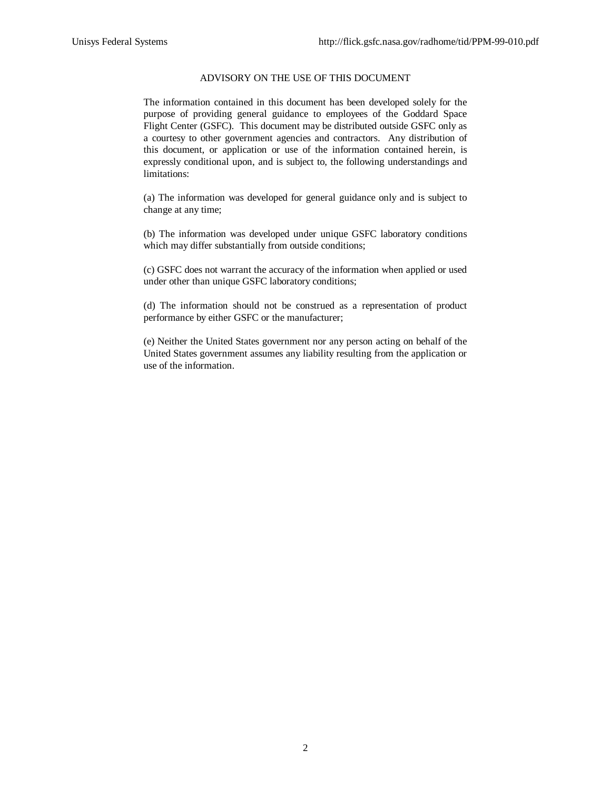### ADVISORY ON THE USE OF THIS DOCUMENT

The information contained in this document has been developed solely for the purpose of providing general guidance to employees of the Goddard Space Flight Center (GSFC). This document may be distributed outside GSFC only as a courtesy to other government agencies and contractors. Any distribution of this document, or application or use of the information contained herein, is expressly conditional upon, and is subject to, the following understandings and limitations:

(a) The information was developed for general guidance only and is subject to change at any time;

(b) The information was developed under unique GSFC laboratory conditions which may differ substantially from outside conditions;

(c) GSFC does not warrant the accuracy of the information when applied or used under other than unique GSFC laboratory conditions;

(d) The information should not be construed as a representation of product performance by either GSFC or the manufacturer;

(e) Neither the United States government nor any person acting on behalf of the United States government assumes any liability resulting from the application or use of the information.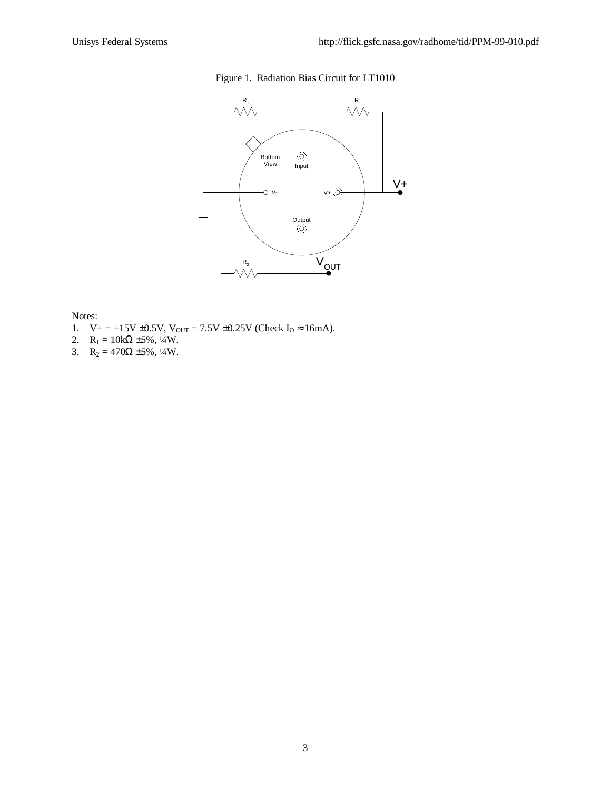## Figure 1. Radiation Bias Circuit for LT1010



#### Notes:

- 1.  $V_+ = +15V \pm 0.5V$ ,  $V_{OUT} = 7.5V \pm 0.25V$  (Check  $I_0 \approx 16mA$ ).
- 2.  $R_1 = 10k\Omega \pm 5\%, \frac{1}{4}W$ .
- 3.  $R_2 = 470\Omega \pm 5\%, \frac{1}{4}W$ .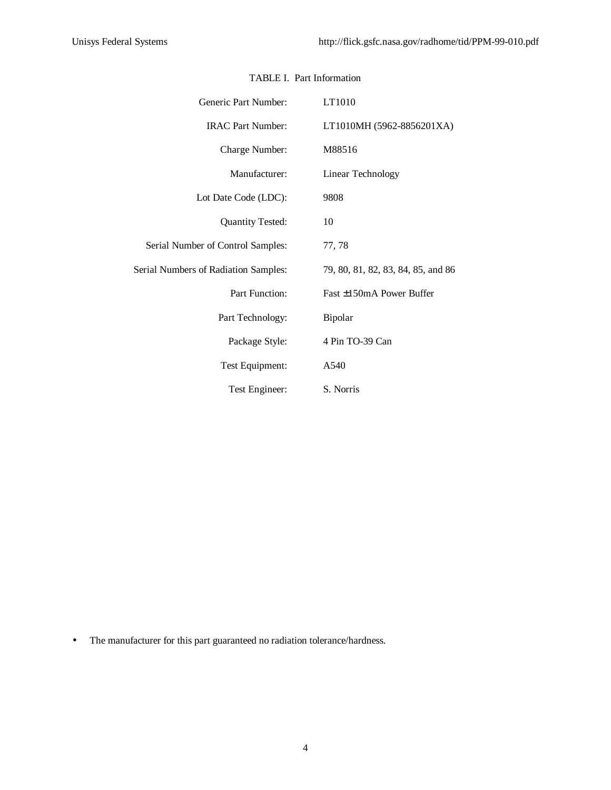| Generic Part Number:                        | LT1010                             |
|---------------------------------------------|------------------------------------|
| <b>IRAC Part Number:</b>                    | LT1010MH (5962-8856201XA)          |
| Charge Number:                              | M88516                             |
| Manufacturer:                               | Linear Technology                  |
| Lot Date Code (LDC):                        | 9808                               |
| <b>Quantity Tested:</b>                     | 10                                 |
| Serial Number of Control Samples:           | 77, 78                             |
| <b>Serial Numbers of Radiation Samples:</b> | 79, 80, 81, 82, 83, 84, 85, and 86 |
| Part Function:                              | Fast $\pm 150$ m A Power Buffer    |
| Part Technology:                            | Bipolar                            |
| Package Style:                              | 4 Pin TO-39 Can                    |
| Test Equipment:                             | A540                               |
| Test Engineer:                              | S. Norris                          |

#### TABLE I. Part Information

• The manufacturer for this part guaranteed no radiation tolerance/hardness.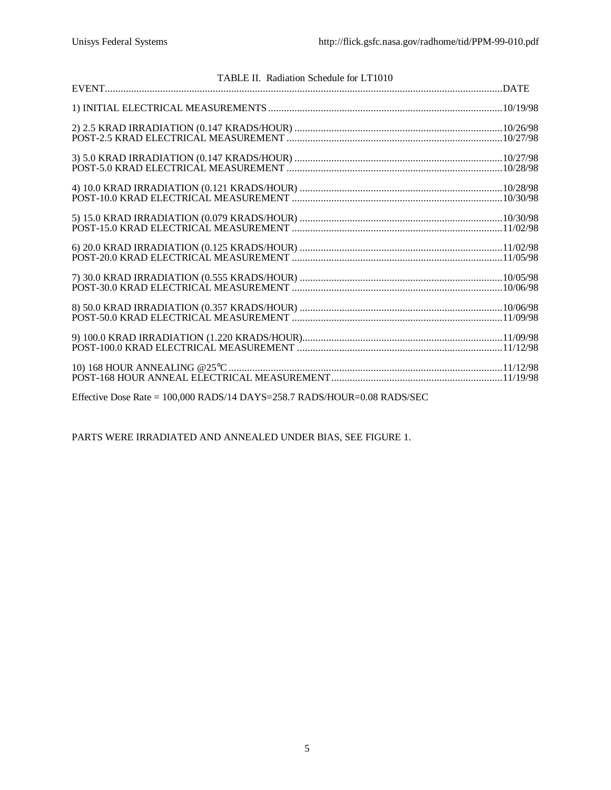| TABLE II. Radiation Schedule for LT1010 |  |
|-----------------------------------------|--|
|                                         |  |
|                                         |  |
|                                         |  |
|                                         |  |
|                                         |  |
|                                         |  |
|                                         |  |
|                                         |  |
|                                         |  |
|                                         |  |

Effective Dose Rate = 100,000 RADS/14 DAYS=258.7 RADS/HOUR=0.08 RADS/SEC

PARTS WERE IRRADIATED AND ANNEALED UNDER BIAS, SEE FIGURE 1.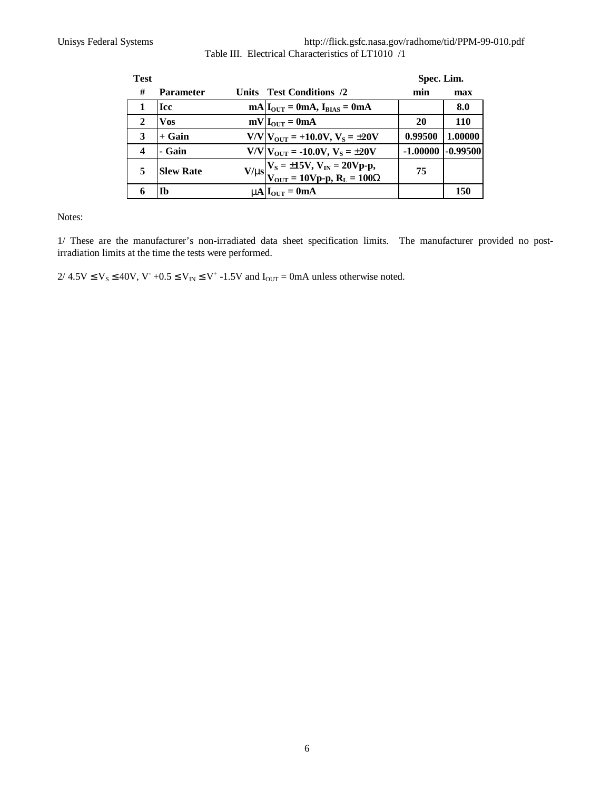Unisys Federal Systems http://flick.gsfc.nasa.gov/radhome/tid/PPM-99-010.pdf Table III. Electrical Characteristics of LT1010 /1

| <b>Test</b>  |                  |                                                                                   | Spec. Lim. |            |  |  |  |
|--------------|------------------|-----------------------------------------------------------------------------------|------------|------------|--|--|--|
| #            | <b>Parameter</b> | Units Test Conditions /2                                                          | min        | max        |  |  |  |
| 1            | <b>Icc</b>       | $mA IOUT = 0mA, IBIAS = 0mA$                                                      |            | 8.0        |  |  |  |
| $\mathbf{2}$ | Vos              | $mV IOUT = 0mA$                                                                   | 20         | 110        |  |  |  |
| 3            | $+$ Gain         | $V/V V_{OUT} = +10.0V, V_S = \pm 20V$                                             | 0.99500    | 1.00000    |  |  |  |
| 4            | - Gain           | $V/V V_{\text{OUT}} = -10.0 V, V_{\text{S}} = \pm 20 V$                           | $-1.00000$ | $-0.99500$ |  |  |  |
| 5            | <b>Slew Rate</b> | $V/ms$ $V_S = \pm 15V$ , $V_{IN} = 20Vp-p$ ,<br>$V_{OUT} = 10Vp-p$ , $R_L = 100W$ | 75         |            |  |  |  |
| 6            | Ib               | $mA$ $I_{OUT} = 0mA$                                                              |            | 150        |  |  |  |

Notes:

1/ These are the manufacturer's non-irradiated data sheet specification limits. The manufacturer provided no postirradiation limits at the time the tests were performed.

 $2/4.5V \le V_S \le 40V$ ,  $V^+ +0.5 \le V_{IN} \le V^+ -1.5V$  and  $I_{OUT} = 0$ mA unless otherwise noted.